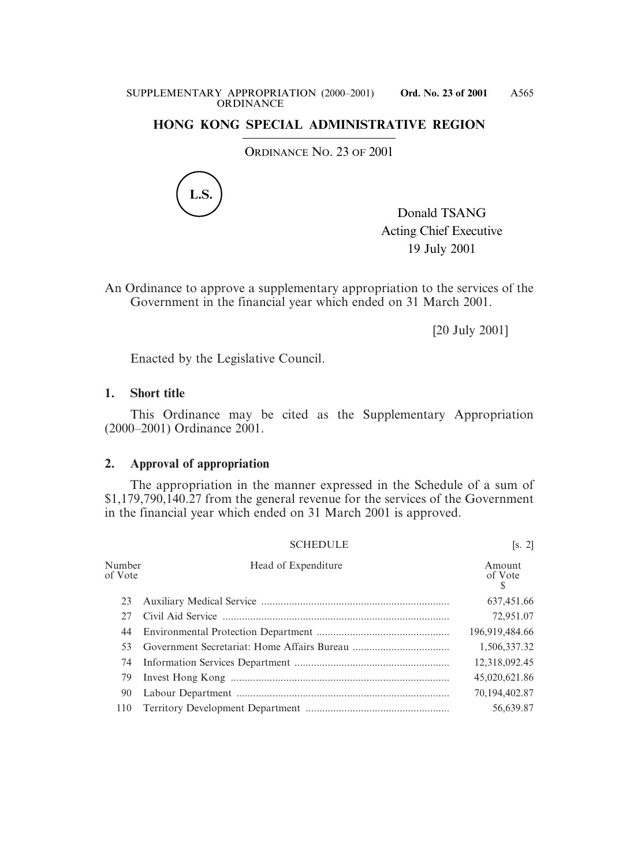## **HONG KONG SPECIAL ADMINISTRATIVE REGION**

ORDINANCE NO. 23 OF 2001



Donald TSANG Acting Chief Executive 19 July 2001

An Ordinance to approve a supplementary appropriation to the services of the Government in the financial year which ended on 31 March 2001.

[20 July 2001]

Enacted by the Legislative Council.

## **1. Short title**

This Ordinance may be cited as the Supplementary Appropriation (2000–2001) Ordinance 2001.

## **2. Approval of appropriation**

The appropriation in the manner expressed in the Schedule of a sum of \$1,179,790,140.27 from the general revenue for the services of the Government in the financial year which ended on 31 March 2001 is approved.

|                   | <b>SCHEDULE</b>     | [s. 2]            |
|-------------------|---------------------|-------------------|
| Number<br>of Vote | Head of Expenditure | Amount<br>of Vote |
| 23                |                     | 637,451.66        |
| 27                |                     | 72,951.07         |
| 44                |                     | 196,919,484.66    |
| 53.               |                     | 1,506,337.32      |
| 74                |                     | 12,318,092.45     |
| 79                |                     | 45,020,621.86     |
| 90                |                     | 70,194,402.87     |
| 110               |                     | 56,639.87         |